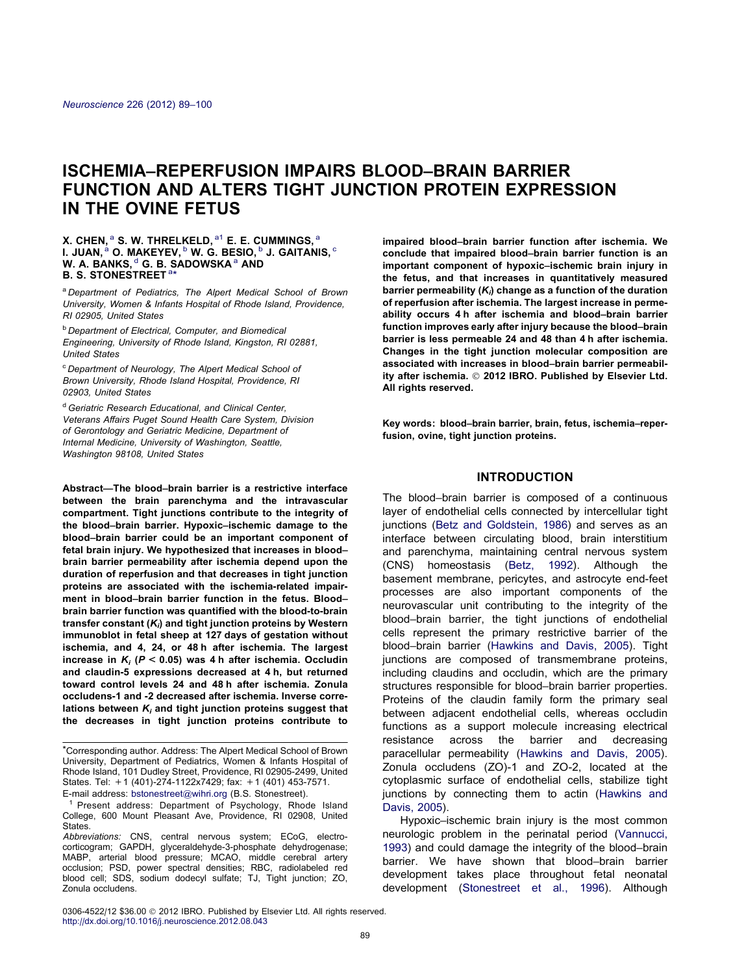# ISCHEMIA–REPERFUSION IMPAIRS BLOOD–BRAIN BARRIER FUNCTION AND ALTERS TIGHT JUNCTION PROTEIN EXPRESSION IN THE OVINE FETUS

### X. CHEN,  $^{\rm a}$  S. W. THRELKELD,  $^{\rm a1}$  E. E. CUMMINGS,  $^{\rm a}$ I. JUAN, $^{\rm a}$  O. MAKEYEV,  $^{\rm b}$  W. G. BESIO,  $^{\rm b}$  J. GAITANIS,  $^{\rm c}$ W. A. BANKS, d G. B. SADOWSKA <sup>a</sup> AND B. S. STONESTREET<sup>a\*</sup>

<sup>a</sup> Department of Pediatrics. The Alpert Medical School of Brown University, Women & Infants Hospital of Rhode Island, Providence, RI 02905, United States

**b Department of Electrical, Computer, and Biomedical** Engineering, University of Rhode Island, Kingston, RI 02881, United States

<sup>c</sup> Department of Neurology, The Alpert Medical School of Brown University, Rhode Island Hospital, Providence, RI 02903, United States

<sup>d</sup> Geriatric Research Educational, and Clinical Center, Veterans Affairs Puget Sound Health Care System, Division of Gerontology and Geriatric Medicine, Department of Internal Medicine, University of Washington, Seattle, Washington 98108, United States

Abstract—The blood–brain barrier is a restrictive interface between the brain parenchyma and the intravascular compartment. Tight junctions contribute to the integrity of the blood–brain barrier. Hypoxic–ischemic damage to the blood–brain barrier could be an important component of fetal brain injury. We hypothesized that increases in blood– brain barrier permeability after ischemia depend upon the duration of reperfusion and that decreases in tight junction proteins are associated with the ischemia-related impairment in blood–brain barrier function in the fetus. Blood– brain barrier function was quantified with the blood-to-brain transfer constant  $(K_i)$  and tight junction proteins by Western immunoblot in fetal sheep at 127 days of gestation without ischemia, and 4, 24, or 48 h after ischemia. The largest increase in  $K_i$  ( $P < 0.05$ ) was 4 h after ischemia. Occludin and claudin-5 expressions decreased at 4 h, but returned toward control levels 24 and 48 h after ischemia. Zonula occludens-1 and -2 decreased after ischemia. Inverse correlations between  $K_i$  and tight junction proteins suggest that the decreases in tight junction proteins contribute to impaired blood–brain barrier function after ischemia. We conclude that impaired blood–brain barrier function is an important component of hypoxic–ischemic brain injury in the fetus, and that increases in quantitatively measured barrier permeability  $(K_i)$  change as a function of the duration of reperfusion after ischemia. The largest increase in permeability occurs 4 h after ischemia and blood–brain barrier function improves early after injury because the blood–brain barrier is less permeable 24 and 48 than 4 h after ischemia. Changes in the tight junction molecular composition are associated with increases in blood–brain barrier permeability after ischemia. © 2012 IBRO. Published by Elsevier Ltd. All rights reserved.

Key words: blood–brain barrier, brain, fetus, ischemia–reperfusion, ovine, tight junction proteins.

# INTRODUCTION

The blood–brain barrier is composed of a continuous layer of endothelial cells connected by intercellular tight junctions [\(Betz and Goldstein, 1986\)](#page-10-0) and serves as an interface between circulating blood, brain interstitium and parenchyma, maintaining central nervous system (CNS) homeostasis [\(Betz, 1992](#page-10-0)). Although the basement membrane, pericytes, and astrocyte end-feet processes are also important components of the neurovascular unit contributing to the integrity of the blood–brain barrier, the tight junctions of endothelial cells represent the primary restrictive barrier of the blood–brain barrier [\(Hawkins and Davis, 2005\)](#page-10-0). Tight junctions are composed of transmembrane proteins, including claudins and occludin, which are the primary structures responsible for blood–brain barrier properties. Proteins of the claudin family form the primary seal between adjacent endothelial cells, whereas occludin functions as a support molecule increasing electrical resistance across the barrier and decreasing paracellular permeability [\(Hawkins and Davis, 2005\)](#page-10-0). Zonula occludens (ZO)-1 and ZO-2, located at the cytoplasmic surface of endothelial cells, stabilize tight junctions by connecting them to actin [\(Hawkins and](#page-10-0) [Davis, 2005\)](#page-10-0).

Hypoxic–ischemic brain injury is the most common neurologic problem in the perinatal period ([Vannucci,](#page-11-0) [1993](#page-11-0)) and could damage the integrity of the blood–brain barrier. We have shown that blood–brain barrier development takes place throughout fetal neonatal development ([Stonestreet et al., 1996\)](#page-11-0). Although

<sup>\*</sup>Corresponding author. Address: The Alpert Medical School of Brown University, Department of Pediatrics, Women & Infants Hospital of Rhode Island, 101 Dudley Street, Providence, RI 02905-2499, United States. Tel: +1 (401)-274-1122x7429; fax: +1 (401) 453-7571. E-mail address: [bstonestreet@wihri.org](mailto:bstonestreet@wihri.org) (B.S. Stonestreet).

<sup>&</sup>lt;sup>1</sup> Present address: Department of Psychology, Rhode Island College, 600 Mount Pleasant Ave, Providence, RI 02908, United **States** 

Abbreviations: CNS, central nervous system; ECoG, electrocorticogram; GAPDH, glyceraldehyde-3-phosphate dehydrogenase; MABP, arterial blood pressure; MCAO, middle cerebral artery occlusion; PSD, power spectral densities; RBC, radiolabeled red blood cell; SDS, sodium dodecyl sulfate; TJ, Tight junction; ZO, Zonula occludens.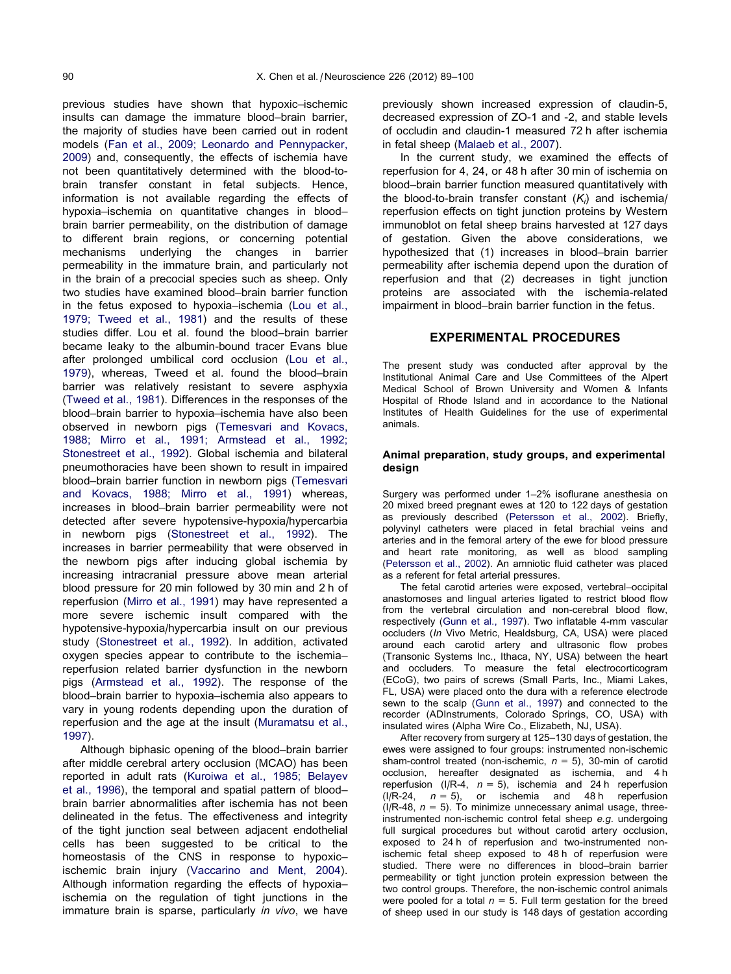previous studies have shown that hypoxic–ischemic insults can damage the immature blood–brain barrier, the majority of studies have been carried out in rodent models [\(Fan et al., 2009; Leonardo and Pennypacker,](#page-10-0) [2009](#page-10-0)) and, consequently, the effects of ischemia have not been quantitatively determined with the blood-tobrain transfer constant in fetal subjects. Hence, information is not available regarding the effects of hypoxia–ischemia on quantitative changes in blood– brain barrier permeability, on the distribution of damage to different brain regions, or concerning potential mechanisms underlying the changes in barrier permeability in the immature brain, and particularly not in the brain of a precocial species such as sheep. Only two studies have examined blood–brain barrier function in the fetus exposed to hypoxia–ischemia [\(Lou et al.,](#page-11-0) [1979; Tweed et al., 1981\)](#page-11-0) and the results of these studies differ. Lou et al. found the blood–brain barrier became leaky to the albumin-bound tracer Evans blue after prolonged umbilical cord occlusion ([Lou et al.,](#page-11-0) [1979](#page-11-0)), whereas, Tweed et al. found the blood–brain barrier was relatively resistant to severe asphyxia [\(Tweed et al., 1981\)](#page-11-0). Differences in the responses of the blood–brain barrier to hypoxia–ischemia have also been observed in newborn pigs ([Temesvari and Kovacs,](#page-11-0) [1988; Mirro et al., 1991; Armstead et al., 1992;](#page-11-0) [Stonestreet et al., 1992\)](#page-11-0). Global ischemia and bilateral pneumothoracies have been shown to result in impaired blood–brain barrier function in newborn pigs ([Temesvari](#page-11-0) [and Kovacs, 1988; Mirro et al., 1991\)](#page-11-0) whereas, increases in blood–brain barrier permeability were not detected after severe hypotensive-hypoxia/hypercarbia in newborn pigs [\(Stonestreet et al., 1992](#page-11-0)). The increases in barrier permeability that were observed in the newborn pigs after inducing global ischemia by increasing intracranial pressure above mean arterial blood pressure for 20 min followed by 30 min and 2 h of reperfusion [\(Mirro et al., 1991](#page-11-0)) may have represented a more severe ischemic insult compared with the hypotensive-hypoxia/hypercarbia insult on our previous study [\(Stonestreet et al., 1992\)](#page-11-0). In addition, activated oxygen species appear to contribute to the ischemia– reperfusion related barrier dysfunction in the newborn pigs ([Armstead et al., 1992](#page-10-0)). The response of the blood–brain barrier to hypoxia–ischemia also appears to vary in young rodents depending upon the duration of reperfusion and the age at the insult [\(Muramatsu et al.,](#page-11-0) [1997](#page-11-0)).

Although biphasic opening of the blood–brain barrier after middle cerebral artery occlusion (MCAO) has been reported in adult rats ([Kuroiwa et al., 1985; Belayev](#page-11-0) [et al., 1996\)](#page-11-0), the temporal and spatial pattern of blood– brain barrier abnormalities after ischemia has not been delineated in the fetus. The effectiveness and integrity of the tight junction seal between adjacent endothelial cells has been suggested to be critical to the homeostasis of the CNS in response to hypoxic– ischemic brain injury [\(Vaccarino and Ment, 2004\)](#page-11-0). Although information regarding the effects of hypoxia– ischemia on the regulation of tight junctions in the immature brain is sparse, particularly in vivo, we have previously shown increased expression of claudin-5, decreased expression of ZO-1 and -2, and stable levels of occludin and claudin-1 measured 72 h after ischemia in fetal sheep [\(Malaeb et al., 2007\)](#page-11-0).

In the current study, we examined the effects of reperfusion for 4, 24, or 48 h after 30 min of ischemia on blood–brain barrier function measured quantitatively with the blood-to-brain transfer constant  $(K_i)$  and ischemia reperfusion effects on tight junction proteins by Western immunoblot on fetal sheep brains harvested at 127 days of gestation. Given the above considerations, we hypothesized that (1) increases in blood–brain barrier permeability after ischemia depend upon the duration of reperfusion and that (2) decreases in tight junction proteins are associated with the ischemia-related impairment in blood–brain barrier function in the fetus.

# EXPERIMENTAL PROCEDURES

The present study was conducted after approval by the Institutional Animal Care and Use Committees of the Alpert Medical School of Brown University and Women & Infants Hospital of Rhode Island and in accordance to the National Institutes of Health Guidelines for the use of experimental animals.

# Animal preparation, study groups, and experimental desian

Surgery was performed under 1–2% isoflurane anesthesia on 20 mixed breed pregnant ewes at 120 to 122 days of gestation as previously described [\(Petersson et al., 2002\)](#page-11-0). Briefly, polyvinyl catheters were placed in fetal brachial veins and arteries and in the femoral artery of the ewe for blood pressure and heart rate monitoring, as well as blood sampling ([Petersson et al., 2002\)](#page-11-0). An amniotic fluid catheter was placed as a referent for fetal arterial pressures.

The fetal carotid arteries were exposed, vertebral–occipital anastomoses and lingual arteries ligated to restrict blood flow from the vertebral circulation and non-cerebral blood flow, respectively ([Gunn et al., 1997\)](#page-10-0). Two inflatable 4-mm vascular occluders (In Vivo Metric, Healdsburg, CA, USA) were placed around each carotid artery and ultrasonic flow probes (Transonic Systems Inc., Ithaca, NY, USA) between the heart and occluders. To measure the fetal electrocorticogram (ECoG), two pairs of screws (Small Parts, Inc., Miami Lakes, FL, USA) were placed onto the dura with a reference electrode sewn to the scalp [\(Gunn et al., 1997\)](#page-10-0) and connected to the recorder (ADInstruments, Colorado Springs, CO, USA) with insulated wires (Alpha Wire Co., Elizabeth, NJ, USA).

After recovery from surgery at 125–130 days of gestation, the ewes were assigned to four groups: instrumented non-ischemic sham-control treated (non-ischemic,  $n = 5$ ), 30-min of carotid occlusion, hereafter designated as ischemia, and 4 h reperfusion (I/R-4,  $n = 5$ ), ischemia and 24 h reperfusion (I/R-24,  $n = 5$ ), or ischemia and 48 h reperfusion  $(I/R-48, n = 5)$ . To minimize unnecessary animal usage, threeinstrumented non-ischemic control fetal sheep e.g. undergoing full surgical procedures but without carotid artery occlusion, exposed to 24 h of reperfusion and two-instrumented nonischemic fetal sheep exposed to 48 h of reperfusion were studied. There were no differences in blood–brain barrier permeability or tight junction protein expression between the two control groups. Therefore, the non-ischemic control animals were pooled for a total  $n = 5$ . Full term gestation for the breed of sheep used in our study is 148 days of gestation according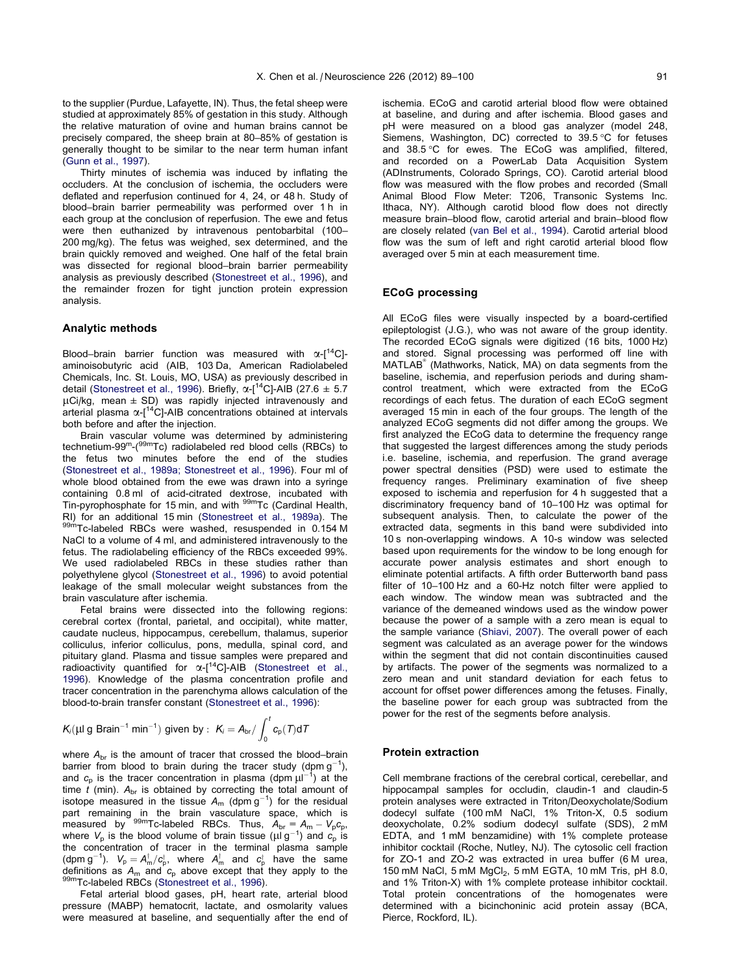to the supplier (Purdue, Lafayette, IN). Thus, the fetal sheep were studied at approximately 85% of gestation in this study. Although the relative maturation of ovine and human brains cannot be precisely compared, the sheep brain at 80–85% of gestation is generally thought to be similar to the near term human infant ([Gunn et al., 1997](#page-10-0)).

Thirty minutes of ischemia was induced by inflating the occluders. At the conclusion of ischemia, the occluders were deflated and reperfusion continued for 4, 24, or 48 h. Study of blood–brain barrier permeability was performed over 1 h in each group at the conclusion of reperfusion. The ewe and fetus were then euthanized by intravenous pentobarbital (100– 200 mg/kg). The fetus was weighed, sex determined, and the brain quickly removed and weighed. One half of the fetal brain was dissected for regional blood–brain barrier permeability analysis as previously described ([Stonestreet et al., 1996\)](#page-11-0), and the remainder frozen for tight junction protein expression analysis.

#### Analytic methods

Blood–brain barrier function was measured with  $\alpha$ -[<sup>14</sup>C]aminoisobutyric acid (AIB, 103 Da, American Radiolabeled Chemicals, Inc. St. Louis, MO, USA) as previously described in detail ([Stonestreet et al., 1996\)](#page-11-0). Briefly,  $\alpha$ -[<sup>14</sup>C]-AIB (27.6  $\pm$  5.7  $\mu$ Ci/kg, mean  $\pm$  SD) was rapidly injected intravenously and arterial plasma  $\alpha$ -[<sup>14</sup>C]-AIB concentrations obtained at intervals both before and after the injection.

Brain vascular volume was determined by administering technetium-99m-(99mTc) radiolabeled red blood cells (RBCs) to the fetus two minutes before the end of the studies ([Stonestreet et al., 1989a; Stonestreet et al., 1996](#page-11-0)). Four ml of whole blood obtained from the ewe was drawn into a syringe containing 0.8 ml of acid-citrated dextrose, incubated with Tin-pyrophosphate for 15 min, and with  $99m$ Tc (Cardinal Health, RI) for an additional 15 min (Stonestreet et al., 1989a). The For an additional 199m<sub>Tc-labeled</sub> et al., 199m<sub>Tc-labeled</sub> RBCs were washed, resuspended in 0.154 M NaCl to a volume of 4 ml, and administered intravenously to the fetus. The radiolabeling efficiency of the RBCs exceeded 99%. We used radiolabeled RBCs in these studies rather than polyethylene glycol ([Stonestreet et al., 1996\)](#page-11-0) to avoid potential leakage of the small molecular weight substances from the brain vasculature after ischemia.

Fetal brains were dissected into the following regions: cerebral cortex (frontal, parietal, and occipital), white matter, caudate nucleus, hippocampus, cerebellum, thalamus, superior colliculus, inferior colliculus, pons, medulla, spinal cord, and pituitary gland. Plasma and tissue samples were prepared and radioactivity quantified for  $\alpha$ -[<sup>14</sup>C]-AIB [\(Stonestreet et al.,](#page-11-0) [1996](#page-11-0)). Knowledge of the plasma concentration profile and tracer concentration in the parenchyma allows calculation of the blood-to-brain transfer constant [\(Stonestreet et al., 1996\)](#page-11-0):

$$
\textit{K}_i(\mu\text{I g Brain}^{-1}\text{ min}^{-1})\text{ given by : }\textit{K}_i=\textit{A}_{\text{br}}/\int_0^t c_p(T) dT
$$

where  $A_{\text{br}}$  is the amount of tracer that crossed the blood–brain barrier from blood to brain during the tracer study (dpm  $g^{-1}$ ), and  $c_p$  is the tracer concentration in plasma (dpm  $\mu$  $^{-1}$ ) at the time t (min).  $A_{\text{br}}$  is obtained by correcting the total amount of isotope measured in the tissue  $A_m$  (dpm  $g^{-1}$ ) for the residual part remaining in the brain vasculature space, which is<br>measured by <sup>99m</sup>Tc-labeled RBCs. Thus,  $A_{\rm br} = A_{\rm m} - V_{\rm p} c_{\rm p}$ , where  $V_p$  is the blood volume of brain tissue ( $\mu$ lg<sup>-1</sup>) and  $c_p$  is the concentration of tracer in the terminal plasma sample (dpm g<sup>-1</sup>).  $V_p = A_m^{\dagger}/c_p^{\dagger}$ , where  $A_m^{\dagger}$  and  $c_p^{\dagger}$  have the same definitions as  $A_m$  and  $c_p$  above except that they apply to the 99mTc-labeled RBCs [\(Stonestreet et al., 1996](#page-11-0)).

Fetal arterial blood gases, pH, heart rate, arterial blood pressure (MABP) hematocrit, lactate, and osmolarity values were measured at baseline, and sequentially after the end of ischemia. ECoG and carotid arterial blood flow were obtained at baseline, and during and after ischemia. Blood gases and pH were measured on a blood gas analyzer (model 248, Siemens, Washington, DC) corrected to 39.5 °C for fetuses and 38.5 °C for ewes. The ECoG was amplified, filtered, and recorded on a PowerLab Data Acquisition System (ADInstruments, Colorado Springs, CO). Carotid arterial blood flow was measured with the flow probes and recorded (Small Animal Blood Flow Meter: T206, Transonic Systems Inc. Ithaca, NY). Although carotid blood flow does not directly measure brain–blood flow, carotid arterial and brain–blood flow are closely related ([van Bel et al., 1994\)](#page-11-0). Carotid arterial blood flow was the sum of left and right carotid arterial blood flow averaged over 5 min at each measurement time.

#### ECoG processing

All ECoG files were visually inspected by a board-certified epileptologist (J.G.), who was not aware of the group identity. The recorded ECoG signals were digitized (16 bits, 1000 Hz) and stored. Signal processing was performed off line with MATLAB (Mathworks, Natick, MA) on data segments from the baseline, ischemia, and reperfusion periods and during shamcontrol treatment, which were extracted from the ECoG recordings of each fetus. The duration of each ECoG segment averaged 15 min in each of the four groups. The length of the analyzed ECoG segments did not differ among the groups. We first analyzed the ECoG data to determine the frequency range that suggested the largest differences among the study periods i.e. baseline, ischemia, and reperfusion. The grand average power spectral densities (PSD) were used to estimate the frequency ranges. Preliminary examination of five sheep exposed to ischemia and reperfusion for 4 h suggested that a discriminatory frequency band of 10–100 Hz was optimal for subsequent analysis. Then, to calculate the power of the extracted data, segments in this band were subdivided into 10 s non-overlapping windows. A 10-s window was selected based upon requirements for the window to be long enough for accurate power analysis estimates and short enough to eliminate potential artifacts. A fifth order Butterworth band pass filter of 10–100 Hz and a 60-Hz notch filter were applied to each window. The window mean was subtracted and the variance of the demeaned windows used as the window power because the power of a sample with a zero mean is equal to the sample variance ([Shiavi, 2007](#page-11-0)). The overall power of each segment was calculated as an average power for the windows within the segment that did not contain discontinuities caused by artifacts. The power of the segments was normalized to a zero mean and unit standard deviation for each fetus to account for offset power differences among the fetuses. Finally, the baseline power for each group was subtracted from the power for the rest of the segments before analysis.

#### Protein extraction

Cell membrane fractions of the cerebral cortical, cerebellar, and hippocampal samples for occludin, claudin-1 and claudin-5 protein analyses were extracted in Triton/Deoxycholate/Sodium dodecyl sulfate (100 mM NaCl, 1% Triton-X, 0.5 sodium deoxycholate, 0.2% sodium dodecyl sulfate (SDS), 2 mM EDTA, and 1 mM benzamidine) with 1% complete protease inhibitor cocktail (Roche, Nutley, NJ). The cytosolic cell fraction for ZO-1 and ZO-2 was extracted in urea buffer (6 M urea, 150 mM NaCl, 5 mM  $MgCl<sub>2</sub>$ , 5 mM EGTA, 10 mM Tris, pH 8.0, and 1% Triton-X) with 1% complete protease inhibitor cocktail. Total protein concentrations of the homogenates were determined with a bicinchoninic acid protein assay (BCA, Pierce, Rockford, IL).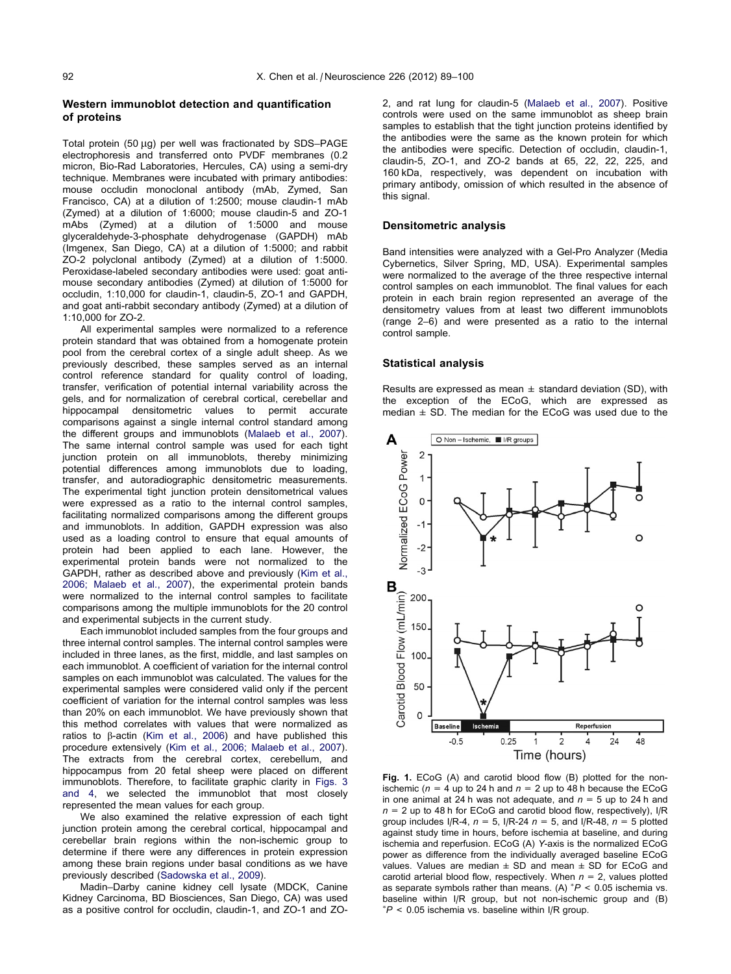# <span id="page-3-0"></span>Western immunoblot detection and quantification of proteins

Total protein (50 µg) per well was fractionated by SDS-PAGE electrophoresis and transferred onto PVDF membranes (0.2 micron, Bio-Rad Laboratories, Hercules, CA) using a semi-dry technique. Membranes were incubated with primary antibodies: mouse occludin monoclonal antibody (mAb, Zymed, San Francisco, CA) at a dilution of 1:2500; mouse claudin-1 mAb (Zymed) at a dilution of 1:6000; mouse claudin-5 and ZO-1 mAbs (Zymed) at a dilution of 1:5000 and mouse glyceraldehyde-3-phosphate dehydrogenase (GAPDH) mAb (Imgenex, San Diego, CA) at a dilution of 1:5000; and rabbit ZO-2 polyclonal antibody (Zymed) at a dilution of 1:5000. Peroxidase-labeled secondary antibodies were used: goat antimouse secondary antibodies (Zymed) at dilution of 1:5000 for occludin, 1:10,000 for claudin-1, claudin-5, ZO-1 and GAPDH, and goat anti-rabbit secondary antibody (Zymed) at a dilution of 1:10,000 for ZO-2.

All experimental samples were normalized to a reference protein standard that was obtained from a homogenate protein pool from the cerebral cortex of a single adult sheep. As we previously described, these samples served as an internal control reference standard for quality control of loading, transfer, verification of potential internal variability across the gels, and for normalization of cerebral cortical, cerebellar and hippocampal densitometric values to permit accurate comparisons against a single internal control standard among the different groups and immunoblots [\(Malaeb et al., 2007](#page-11-0)). The same internal control sample was used for each tight junction protein on all immunoblots, thereby minimizing potential differences among immunoblots due to loading, transfer, and autoradiographic densitometric measurements. The experimental tight junction protein densitometrical values were expressed as a ratio to the internal control samples, facilitating normalized comparisons among the different groups and immunoblots. In addition, GAPDH expression was also used as a loading control to ensure that equal amounts of protein had been applied to each lane. However, the experimental protein bands were not normalized to the GAPDH, rather as described above and previously [\(Kim et al.,](#page-11-0) [2006; Malaeb et al., 2007\)](#page-11-0), the experimental protein bands were normalized to the internal control samples to facilitate comparisons among the multiple immunoblots for the 20 control and experimental subjects in the current study.

Each immunoblot included samples from the four groups and three internal control samples. The internal control samples were included in three lanes, as the first, middle, and last samples on each immunoblot. A coefficient of variation for the internal control samples on each immunoblot was calculated. The values for the experimental samples were considered valid only if the percent coefficient of variation for the internal control samples was less than 20% on each immunoblot. We have previously shown that this method correlates with values that were normalized as ratios to  $\beta$ -actin [\(Kim et al., 2006](#page-11-0)) and have published this procedure extensively ([Kim et al., 2006; Malaeb et al., 2007](#page-11-0)). The extracts from the cerebral cortex, cerebellum, and hippocampus from 20 fetal sheep were placed on different immunoblots. Therefore, to facilitate graphic clarity in [Figs. 3](#page-5-0) [and 4,](#page-5-0) we selected the immunoblot that most closely represented the mean values for each group.

We also examined the relative expression of each tight junction protein among the cerebral cortical, hippocampal and cerebellar brain regions within the non-ischemic group to determine if there were any differences in protein expression among these brain regions under basal conditions as we have previously described ([Sadowska et al., 2009](#page-11-0)).

Madin–Darby canine kidney cell lysate (MDCK, Canine Kidney Carcinoma, BD Biosciences, San Diego, CA) was used as a positive control for occludin, claudin-1, and ZO-1 and ZO-

2, and rat lung for claudin-5 ([Malaeb et al., 2007](#page-11-0)). Positive controls were used on the same immunoblot as sheep brain samples to establish that the tight junction proteins identified by the antibodies were the same as the known protein for which the antibodies were specific. Detection of occludin, claudin-1, claudin-5, ZO-1, and ZO-2 bands at 65, 22, 22, 225, and 160 kDa, respectively, was dependent on incubation with primary antibody, omission of which resulted in the absence of this signal.

### Densitometric analysis

Band intensities were analyzed with a Gel-Pro Analyzer (Media Cybernetics, Silver Spring, MD, USA). Experimental samples were normalized to the average of the three respective internal control samples on each immunoblot. The final values for each protein in each brain region represented an average of the densitometry values from at least two different immunoblots (range 2–6) and were presented as a ratio to the internal control sample.

#### Statistical analysis

Results are expressed as mean  $\pm$  standard deviation (SD), with the exception of the ECoG, which are expressed as median  $\pm$  SD. The median for the ECoG was used due to the



Fig. 1. ECoG (A) and carotid blood flow (B) plotted for the nonischemic ( $n = 4$  up to 24 h and  $n = 2$  up to 48 h because the ECoG in one animal at 24 h was not adequate, and  $n = 5$  up to 24 h and  $n = 2$  up to 48 h for ECoG and carotid blood flow, respectively), I/R group includes I/R-4,  $n = 5$ , I/R-24  $n = 5$ , and I/R-48,  $n = 5$  plotted against study time in hours, before ischemia at baseline, and during ischemia and reperfusion. ECoG (A) Y-axis is the normalized ECoG power as difference from the individually averaged baseline ECoG values. Values are median  $\pm$  SD and mean  $\pm$  SD for ECoG and carotid arterial blood flow, respectively. When  $n = 2$ , values plotted as separate symbols rather than means. (A)  $^{*}P < 0.05$  ischemia vs. baseline within I/R group, but not non-ischemic group and (B)  $*P < 0.05$  ischemia vs. baseline within I/R group.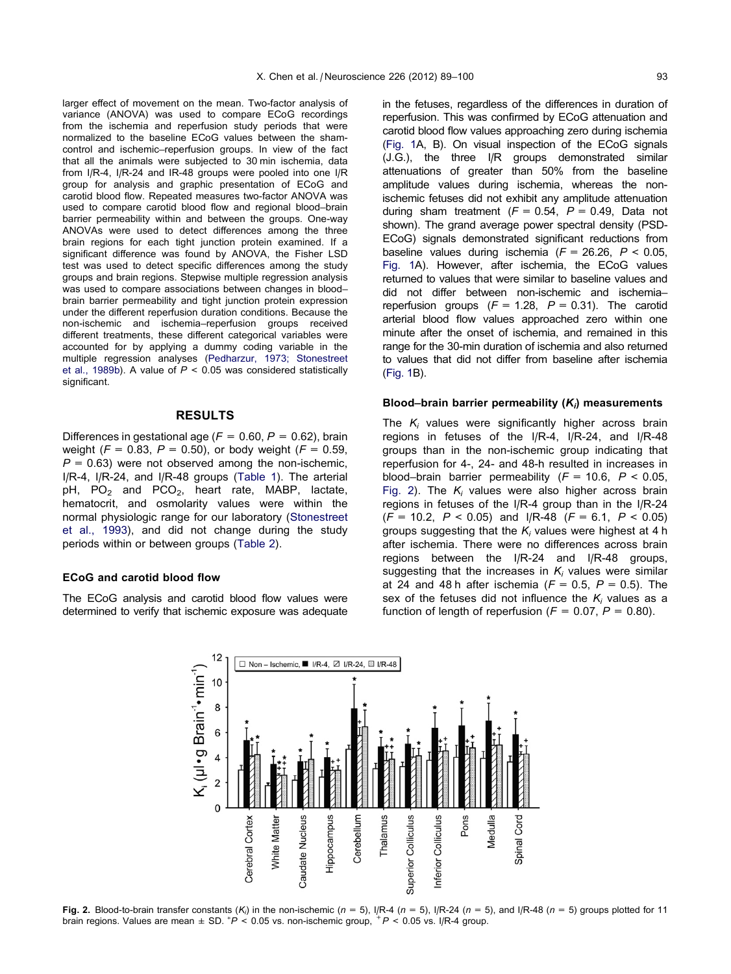<span id="page-4-0"></span>larger effect of movement on the mean. Two-factor analysis of variance (ANOVA) was used to compare ECoG recordings from the ischemia and reperfusion study periods that were normalized to the baseline ECoG values between the shamcontrol and ischemic–reperfusion groups. In view of the fact that all the animals were subjected to 30 min ischemia, data from I/R-4, I/R-24 and IR-48 groups were pooled into one I/R group for analysis and graphic presentation of ECoG and carotid blood flow. Repeated measures two-factor ANOVA was used to compare carotid blood flow and regional blood–brain barrier permeability within and between the groups. One-way ANOVAs were used to detect differences among the three brain regions for each tight junction protein examined. If a significant difference was found by ANOVA, the Fisher LSD test was used to detect specific differences among the study groups and brain regions. Stepwise multiple regression analysis was used to compare associations between changes in blood– brain barrier permeability and tight junction protein expression under the different reperfusion duration conditions. Because the non-ischemic and ischemia–reperfusion groups received different treatments, these different categorical variables were accounted for by applying a dummy coding variable in the multiple regression analyses ([Pedharzur, 1973; Stonestreet](#page-11-0) [et al., 1989b\)](#page-11-0). A value of  $P < 0.05$  was considered statistically significant.

# RESULTS

Differences in gestational age ( $F = 0.60$ ,  $P = 0.62$ ), brain weight ( $F = 0.83$ ,  $P = 0.50$ ), or body weight ( $F = 0.59$ ,  $P = 0.63$ ) were not observed among the non-ischemic, I/R-4, I/R-24, and I/R-48 groups [\(Table 1\)](#page-6-0). The arterial pH,  $PO_2$  and  $PCO_2$ , heart rate, MABP, lactate, hematocrit, and osmolarity values were within the normal physiologic range for our laboratory [\(Stonestreet](#page-11-0) [et al., 1993\)](#page-11-0), and did not change during the study periods within or between groups [\(Table 2](#page-6-0)).

## ECoG and carotid blood flow

The ECoG analysis and carotid blood flow values were determined to verify that ischemic exposure was adequate in the fetuses, regardless of the differences in duration of reperfusion. This was confirmed by ECoG attenuation and carotid blood flow values approaching zero during ischemia ([Fig. 1](#page-3-0)A, B). On visual inspection of the ECoG signals (J.G.), the three I/R groups demonstrated similar attenuations of greater than 50% from the baseline amplitude values during ischemia, whereas the nonischemic fetuses did not exhibit any amplitude attenuation during sham treatment  $(F = 0.54, P = 0.49,$  Data not shown). The grand average power spectral density (PSD-ECoG) signals demonstrated significant reductions from baseline values during ischemia ( $F = 26.26$ ,  $P < 0.05$ , [Fig. 1](#page-3-0)A). However, after ischemia, the ECoG values returned to values that were similar to baseline values and did not differ between non-ischemic and ischemia– reperfusion groups  $(F = 1.28, P = 0.31)$ . The carotid arterial blood flow values approached zero within one minute after the onset of ischemia, and remained in this range for the 30-min duration of ischemia and also returned to values that did not differ from baseline after ischemia ([Fig. 1](#page-3-0)B).

#### Blood–brain barrier permeability  $(K_i)$  measurements

The  $K_i$  values were significantly higher across brain regions in fetuses of the I/R-4, I/R-24, and I/R-48 groups than in the non-ischemic group indicating that reperfusion for 4-, 24- and 48-h resulted in increases in blood–brain barrier permeability ( $F = 10.6$ ,  $P < 0.05$ , Fig. 2). The  $K_i$  values were also higher across brain regions in fetuses of the I/R-4 group than in the I/R-24  $(F = 10.2, P < 0.05)$  and I/R-48  $(F = 6.1, P < 0.05)$ groups suggesting that the  $K_i$  values were highest at 4 h after ischemia. There were no differences across brain regions between the I/R-24 and I/R-48 groups, suggesting that the increases in  $K_i$  values were similar at 24 and 48 h after ischemia ( $F = 0.5$ ,  $P = 0.5$ ). The sex of the fetuses did not influence the  $K_i$  values as a function of length of reperfusion ( $F = 0.07$ ,  $P = 0.80$ ).



Fig. 2. Blood-to-brain transfer constants  $(K_i)$  in the non-ischemic ( $n = 5$ ), I/R-4 ( $n = 5$ ), I/R-24 ( $n = 5$ ), and I/R-48 ( $n = 5$ ) groups plotted for 11 brain regions. Values are mean  $\pm$  SD.  $^{*}P$  < 0.05 vs. non-ischemic group,  $^{+}P$  < 0.05 vs. I/R-4 group.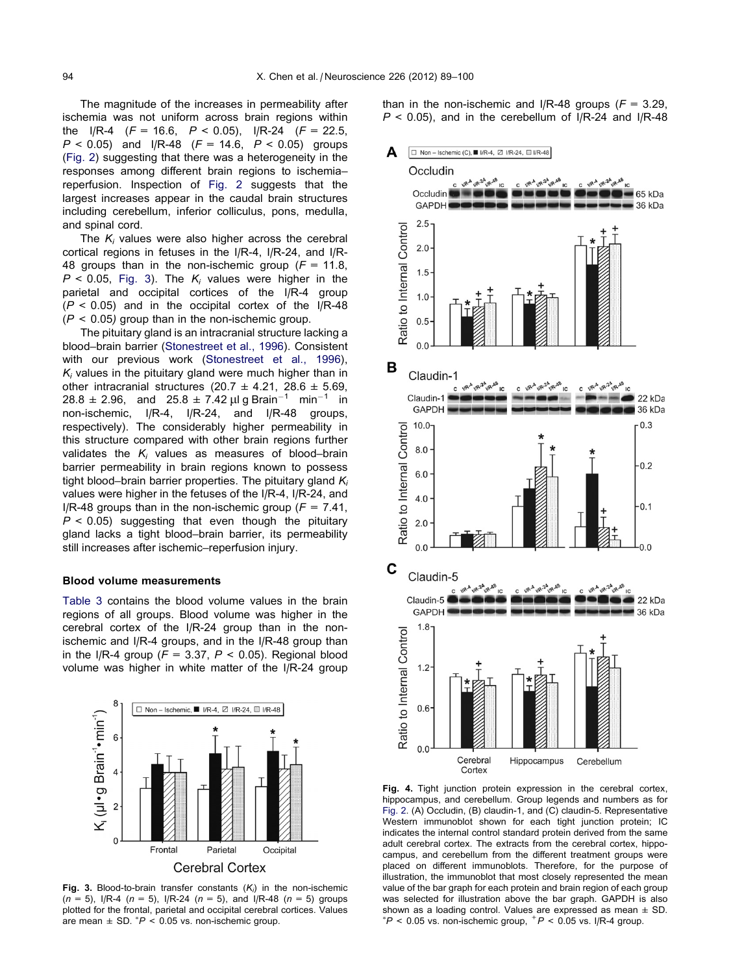<span id="page-5-0"></span>The magnitude of the increases in permeability after ischemia was not uniform across brain regions within the I/R-4 ( $F = 16.6$ ,  $P < 0.05$ ), I/R-24 ( $F = 22.5$ ,  $P < 0.05$ ) and I/R-48 ( $F = 14.6$ ,  $P < 0.05$ ) groups [\(Fig. 2\)](#page-4-0) suggesting that there was a heterogeneity in the responses among different brain regions to ischemia– reperfusion. Inspection of [Fig. 2](#page-4-0) suggests that the largest increases appear in the caudal brain structures including cerebellum, inferior colliculus, pons, medulla, and spinal cord.

The  $K_i$  values were also higher across the cerebral cortical regions in fetuses in the I/R-4, I/R-24, and I/R-48 groups than in the non-ischemic group ( $F = 11.8$ ,  $P < 0.05$ . Fig. 3). The K<sub>i</sub> values were higher in the parietal and occipital cortices of the I/R-4 group  $(P < 0.05)$  and in the occipital cortex of the I/R-48  $(P < 0.05)$  group than in the non-ischemic group.

The pituitary gland is an intracranial structure lacking a blood–brain barrier ([Stonestreet et al., 1996](#page-11-0)). Consistent with our previous work ([Stonestreet et al., 1996\)](#page-11-0),  $K_i$  values in the pituitary gland were much higher than in other intracranial structures (20.7  $\pm$  4.21, 28.6  $\pm$  5.69,  $28.8 \pm 2.96$ , and  $25.8 \pm 7.42 \mu$ lg Brain<sup>-1</sup> min<sup>-1</sup> in non-ischemic, I/R-4, I/R-24, and I/R-48 groups, respectively). The considerably higher permeability in this structure compared with other brain regions further validates the  $K_i$  values as measures of blood–brain barrier permeability in brain regions known to possess tight blood–brain barrier properties. The pituitary gland  $K_i$ values were higher in the fetuses of the I/R-4, I/R-24, and I/R-48 groups than in the non-ischemic group ( $F = 7.41$ ,  $P < 0.05$ ) suggesting that even though the pituitary gland lacks a tight blood–brain barrier, its permeability still increases after ischemic–reperfusion injury.

#### Blood volume measurements

[Table 3](#page-7-0) contains the blood volume values in the brain regions of all groups. Blood volume was higher in the cerebral cortex of the I/R-24 group than in the nonischemic and I/R-4 groups, and in the I/R-48 group than in the I/R-4 group ( $F = 3.37$ ,  $P < 0.05$ ). Regional blood volume was higher in white matter of the I/R-24 group



Fig. 3. Blood-to-brain transfer constants  $(K_i)$  in the non-ischemic  $(n = 5)$ ,  $1/R-4$   $(n = 5)$ ,  $1/R-24$   $(n = 5)$ , and  $1/R-48$   $(n = 5)$  groups plotted for the frontal, parietal and occipital cerebral cortices. Values are mean  $\pm$  SD.  $^{*}P$  < 0.05 vs. non-ischemic group.

than in the non-ischemic and I/R-48 groups ( $F = 3.29$ .  $P < 0.05$ ), and in the cerebellum of I/R-24 and I/R-48



Fig. 4. Tight junction protein expression in the cerebral cortex, hippocampus, and cerebellum. Group legends and numbers as for [Fig. 2](#page-4-0). (A) Occludin, (B) claudin-1, and (C) claudin-5. Representative Western immunoblot shown for each tight junction protein; IC indicates the internal control standard protein derived from the same adult cerebral cortex. The extracts from the cerebral cortex, hippocampus, and cerebellum from the different treatment groups were placed on different immunoblots. Therefore, for the purpose of illustration, the immunoblot that most closely represented the mean value of the bar graph for each protein and brain region of each group was selected for illustration above the bar graph. GAPDH is also shown as a loading control. Values are expressed as mean  $\pm$  SD.  $*P < 0.05$  vs. non-ischemic group,  $+P < 0.05$  vs. I/R-4 group.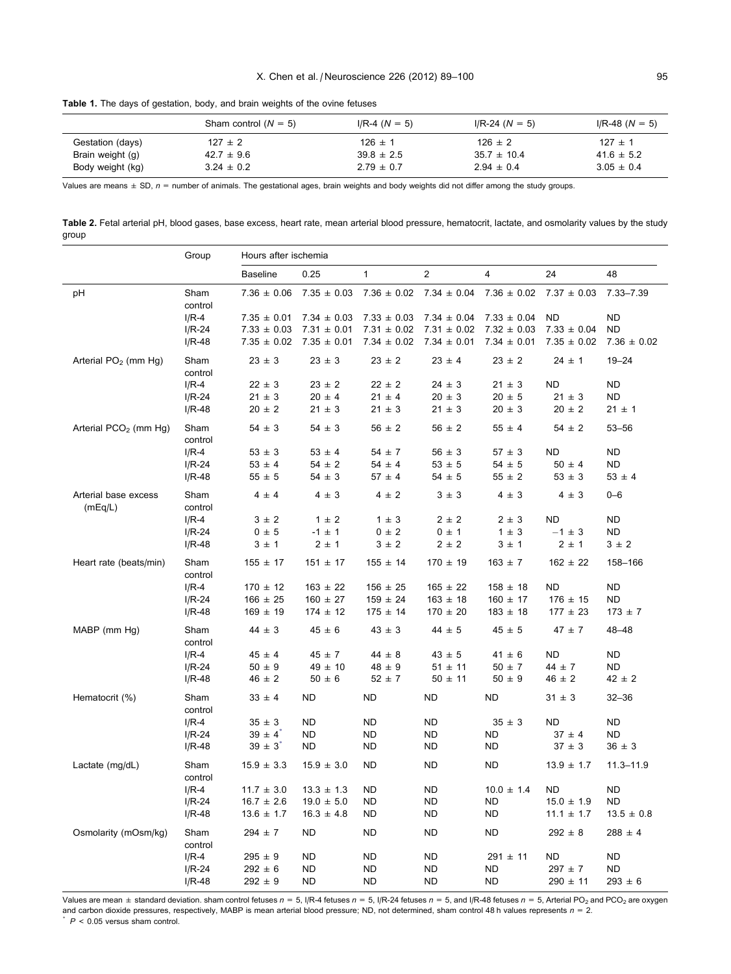<span id="page-6-0"></span>Table 1. The days of gestation, body, and brain weights of the ovine fetuses

|                  | Sham control $(N = 5)$ | $I/R-4 (N = 5)$ | $I/R-24 (N = 5)$ | $I/R-48 (N = 5)$ |
|------------------|------------------------|-----------------|------------------|------------------|
| Gestation (days) | $127 \pm 2$            | $126 \pm 1$     | $126 \pm 2$      | $127 \pm 1$      |
| Brain weight (g) | $42.7 \pm 9.6$         | $39.8 \pm 2.5$  | $35.7 \pm 10.4$  | $41.6 \pm 5.2$   |
| Body weight (kg) | $3.24 \pm 0.2$         | $2.79 \pm 0.7$  | $2.94 \pm 0.4$   | $3.05 \pm 0.4$   |

Values are means  $\pm$  SD,  $n =$  number of animals. The gestational ages, brain weights and body weights did not differ among the study groups.

Table 2. Fetal arterial pH, blood gases, base excess, heart rate, mean arterial blood pressure, hematocrit, lactate, and osmolarity values by the study group

|                                   | Group           | Hours after ischemia |                 |                 |                 |                 |                 |                 |
|-----------------------------------|-----------------|----------------------|-----------------|-----------------|-----------------|-----------------|-----------------|-----------------|
|                                   |                 | <b>Baseline</b>      | 0.25            | 1               | 2               | $\overline{4}$  | 24              | 48              |
| рH                                | Sham<br>control | $7.36 \pm 0.06$      | $7.35 \pm 0.03$ | $7.36 \pm 0.02$ | $7.34 \pm 0.04$ | $7.36 \pm 0.02$ | $7.37 \pm 0.03$ | 7.33-7.39       |
|                                   | $I/R-4$         | $7.35 \pm 0.01$      | $7.34 \pm 0.03$ | $7.33 \pm 0.03$ | $7.34 \pm 0.04$ | $7.33 \pm 0.04$ | <b>ND</b>       | <b>ND</b>       |
|                                   | $I/R-24$        | $7.33 \pm 0.03$      | $7.31 \pm 0.01$ | $7.31 \pm 0.02$ | $7.31 \pm 0.02$ | $7.32 \pm 0.03$ | $7.33 \pm 0.04$ | <b>ND</b>       |
|                                   | I/R-48          | $7.35 \pm 0.02$      | $7.35 \pm 0.01$ | $7.34 \pm 0.02$ | $7.34 \pm 0.01$ | $7.34 \pm 0.01$ | $7.35 \pm 0.02$ | $7.36 \pm 0.02$ |
| Arterial $PO2$ (mm Hg)            | Sham<br>control | $23 \pm 3$           | $23 \pm 3$      | $23 \pm 2$      | $23 \pm 4$      | $23 \pm 2$      | $24 \pm 1$      | $19 - 24$       |
|                                   | $I/R-4$         | $22 \pm 3$           | $23 \pm 2$      | $22 \pm 2$      | $24 \pm 3$      | $21 \pm 3$      | <b>ND</b>       | <b>ND</b>       |
|                                   | $I/R-24$        | $21 \pm 3$           | $20 \pm 4$      | $21 \pm 4$      | $20 \pm 3$      | $20 \pm 5$      | $21 \pm 3$      | <b>ND</b>       |
|                                   | $I/R-48$        | $20 \pm 2$           | $21 \pm 3$      | $21 \pm 3$      | $21 \pm 3$      | $20 \pm 3$      | $20 \pm 2$      | $21 \pm 1$      |
| Arterial PCO <sub>2</sub> (mm Hg) | Sham<br>control | $54 \pm 3$           | $54 \pm 3$      | $56 \pm 2$      | $56 \pm 2$      | $55 \pm 4$      | $54 \pm 2$      | $53 - 56$       |
|                                   | $I/R-4$         | $53 \pm 3$           | $53 \pm 4$      | $54 \pm 7$      | $56 \pm 3$      | $57 \pm 3$      | <b>ND</b>       | <b>ND</b>       |
|                                   | $I/R-24$        | $53 \pm 4$           | $54 \pm 2$      | $54 \pm 4$      | $53 \pm 5$      | $54 \pm 5$      | $50 \pm 4$      | <b>ND</b>       |
|                                   | $I/R-48$        | $55 \pm 5$           | $54 \pm 3$      | $57 \pm 4$      | $54 \pm 5$      | $55 \pm 2$      | $53 \pm 3$      | $53 \pm 4$      |
| Arterial base excess<br>(mEq/L)   | Sham<br>control | $4 \pm 4$            | $4 \pm 3$       | $4 \pm 2$       | $3 \pm 3$       | $4 \pm 3$       | $4 \pm 3$       | $0 - 6$         |
|                                   | $I/R-4$         | $3 \pm 2$            | $1 \pm 2$       | $1 \pm 3$       | $2 \pm 2$       | $2 \pm 3$       | <b>ND</b>       | <b>ND</b>       |
|                                   | $I/R-24$        | $0 \pm 5$            | $-1 \pm 1$      | $0 \pm 2$       | $0 \pm 1$       | $1 \pm 3$       | $-1 \pm 3$      | ND              |
|                                   | $I/R-48$        | 3 ± 1                | $2 \pm 1$       | $3 \pm 2$       | $2 \pm 2$       | 3 ± 1           | $2 \pm 1$       | $3 \pm 2$       |
| Heart rate (beats/min)            | Sham<br>control | $155 \pm 17$         | $151 \pm 17$    | $155 \pm 14$    | $170 \pm 19$    | $163 \pm 7$     | $162 \pm 22$    | 158-166         |
|                                   | $I/R-4$         | $170 \pm 12$         | $163 \pm 22$    | $156 \pm 25$    | $165 \pm 22$    | $158 \pm 18$    | ND              | <b>ND</b>       |
|                                   | $I/R-24$        | $166 \pm 25$         | $160 \pm 27$    | $159 \pm 24$    | $163 \pm 18$    | $160 \pm 17$    | $176 \pm 15$    | <b>ND</b>       |
|                                   | $I/R-48$        | $169 \pm 19$         | $174 \pm 12$    | $175 \pm 14$    | $170 \pm 20$    | $183 \pm 18$    | $177 \pm 23$    | $173 \pm 7$     |
| MABP (mm Hg)                      | Sham<br>control | $44 \pm 3$           | $45 \pm 6$      | $43 \pm 3$      | $44 \pm 5$      | $45 \pm 5$      | $47 \pm 7$      | $48 - 48$       |
|                                   | $I/R-4$         | $45 \pm 4$           | $45 \pm 7$      | $44 \pm 8$      | $43 \pm 5$      | $41 \pm 6$      | <b>ND</b>       | <b>ND</b>       |
|                                   | $I/R-24$        | $50 \pm 9$           | $49 \pm 10$     | $48 \pm 9$      | $51 \pm 11$     | $50 \pm 7$      | $44 \pm 7$      | <b>ND</b>       |
|                                   | $I/R-48$        | $46 \pm 2$           | $50 \pm 6$      | $52 \pm 7$      | $50 \pm 11$     | $50 \pm 9$      | $46 \pm 2$      | $42 \pm 2$      |
| Hematocrit (%)                    | Sham<br>control | $33 \pm 4$           | <b>ND</b>       | <b>ND</b>       | <b>ND</b>       | <b>ND</b>       | $31 \pm 3$      | $32 - 36$       |
|                                   | $I/R-4$         | $35 \pm 3$           | <b>ND</b>       | ND              | <b>ND</b>       | $35 \pm 3$      | <b>ND</b>       | <b>ND</b>       |
|                                   | $I/R-24$        | $39 \pm 4^*$         | <b>ND</b>       | <b>ND</b>       | <b>ND</b>       | <b>ND</b>       | $37 \pm 4$      | <b>ND</b>       |
|                                   | $I/R-48$        | $39 \pm 3^{*}$       | <b>ND</b>       | ND              | ND              | <b>ND</b>       | $37 \pm 3$      | $36 \pm 3$      |
| Lactate (mg/dL)                   | Sham<br>control | $15.9 \pm 3.3$       | $15.9 \pm 3.0$  | <b>ND</b>       | ND              | <b>ND</b>       | $13.9 \pm 1.7$  | $11.3 - 11.9$   |
|                                   | $I/R-4$         | $11.7 \pm 3.0$       | $13.3 \pm 1.3$  | ND              | ND              | $10.0 \pm 1.4$  | <b>ND</b>       | <b>ND</b>       |
|                                   | $I/R-24$        | $16.7 \pm 2.6$       | $19.0 \pm 5.0$  | ND              | ND              | <b>ND</b>       | $15.0 \pm 1.9$  | <b>ND</b>       |
|                                   | $I/R-48$        | $13.6 \pm 1.7$       | $16.3 \pm 4.8$  | ND              | <b>ND</b>       | <b>ND</b>       | $11.1 \pm 1.7$  | $13.5 \pm 0.8$  |
| Osmolarity (mOsm/kg)              | Sham<br>control | $294 \pm 7$          | <b>ND</b>       | <b>ND</b>       | <b>ND</b>       | <b>ND</b>       | $292 \pm 8$     | $288 \pm 4$     |
|                                   | $I/R-4$         | $295 \pm 9$          | <b>ND</b>       | <b>ND</b>       | <b>ND</b>       | $291 \pm 11$    | <b>ND</b>       | <b>ND</b>       |
|                                   | $I/R-24$        | $292 \pm 6$          | <b>ND</b>       | <b>ND</b>       | <b>ND</b>       | <b>ND</b>       | $297 \pm 7$     | <b>ND</b>       |
|                                   | I/R-48          | $292 \pm 9$          | <b>ND</b>       | ND              | <b>ND</b>       | <b>ND</b>       | $290 \pm 11$    | $293 \pm 6$     |

Values are mean  $\pm$  standard deviation. sham control fetuses  $n = 5$ , I/R-4 fetuses  $n = 5$ , I/R-24 fetuses  $n = 5$ , and I/R-48 fetuses  $n = 5$ , Arterial PO<sub>2</sub> and PCO<sub>2</sub> are oxygen and carbon dioxide pressures, respectively, MABP is mean arterial blood pressure; ND, not determined, sham control 48 h values represents  $n = 2$ .  $P < 0.05$  versus sham control.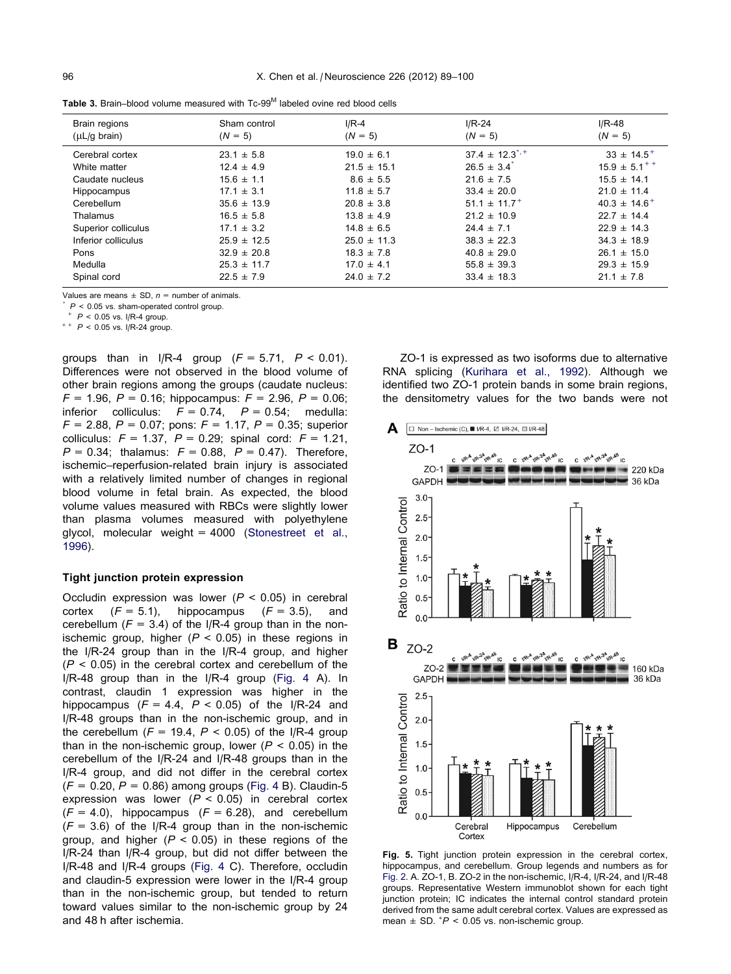<span id="page-7-0"></span>Table 3. Brain–blood volume measured with Tc-99<sup>M</sup> labeled ovine red blood cells

| Brain regions<br>$(\mu L/g \,\,\text{brain})$ | Sham control<br>$(N = 5)$ | $I/R-4$<br>$(N = 5)$ | $I/R-24$<br>$(N = 5)$        | $I/R-48$<br>$(N = 5)$      |
|-----------------------------------------------|---------------------------|----------------------|------------------------------|----------------------------|
| Cerebral cortex                               | $23.1 \pm 5.8$            | $19.0 \pm 6.1$       | $37.4 \pm 12.3$ <sup>*</sup> | $33 \pm 14.5$ <sup>+</sup> |
| White matter                                  | $12.4 \pm 4.9$            | $21.5 \pm 15.1$      | $26.5 \pm 3.4$               | $15.9 \pm 5.1^{++}$        |
| Caudate nucleus                               | $15.6 \pm 1.1$            | $8.6 \pm 5.5$        | $21.6 \pm 7.5$               | $15.5 \pm 14.1$            |
| Hippocampus                                   | $17.1 \pm 3.1$            | $11.8 \pm 5.7$       | $33.4 \pm 20.0$              | $21.0 \pm 11.4$            |
| Cerebellum                                    | $35.6 \pm 13.9$           | $20.8 \pm 3.8$       | $51.1 \pm 11.7$ <sup>+</sup> | $40.3 \pm 14.6^+$          |
| Thalamus                                      | $16.5 \pm 5.8$            | $13.8 \pm 4.9$       | $21.2 \pm 10.9$              | $22.7 \pm 14.4$            |
| Superior colliculus                           | $17.1 \pm 3.2$            | $14.8 \pm 6.5$       | $24.4 \pm 7.1$               | $22.9 \pm 14.3$            |
| Inferior colliculus                           | $25.9 \pm 12.5$           | $25.0 \pm 11.3$      | $38.3 \pm 22.3$              | $34.3 \pm 18.9$            |
| Pons                                          | $32.9 \pm 20.8$           | $18.3 \pm 7.8$       | $40.8 \pm 29.0$              | $26.1 \pm 15.0$            |
| Medulla                                       | $25.3 \pm 11.7$           | $17.0 \pm 4.1$       | $55.8 \pm 39.3$              | $29.3 \pm 15.9$            |
| Spinal cord                                   | $22.5 \pm 7.9$            | $24.0 \pm 7.2$       | $33.4 \pm 18.3$              | $21.1 \pm 7.8$             |

Values are means  $\pm$  SD,  $n =$  number of animals.

 $P < 0.05$  vs. sham-operated control group.

 $P < 0.05$  vs. I/R-4 group.

 $^{++}$   $P < 0.05$  vs. I/R-24 group.

groups than in I/R-4 group  $(F = 5.71, P < 0.01)$ . Differences were not observed in the blood volume of other brain regions among the groups (caudate nucleus:  $F = 1.96$ ,  $P = 0.16$ ; hippocampus:  $F = 2.96$ ,  $P = 0.06$ ; inferior colliculus:  $F = 0.74$ ,  $P = 0.54$ ; medulla:  $F = 2.88$ ,  $P = 0.07$ ; pons:  $F = 1.17$ ,  $P = 0.35$ ; superior colliculus:  $F = 1.37$ ,  $P = 0.29$ ; spinal cord:  $F = 1.21$ ,  $P = 0.34$ ; thalamus:  $F = 0.88$ ,  $P = 0.47$ ). Therefore, ischemic–reperfusion-related brain injury is associated with a relatively limited number of changes in regional blood volume in fetal brain. As expected, the blood volume values measured with RBCs were slightly lower than plasma volumes measured with polyethylene glycol, molecular weight = 4000 [\(Stonestreet et al.,](#page-11-0) [1996](#page-11-0)).

#### Tight junction protein expression

Occludin expression was lower ( $P < 0.05$ ) in cerebral cortex  $(F = 5.1)$ , hippocampus  $(F = 3.5)$ , and cerebellum ( $F = 3.4$ ) of the I/R-4 group than in the nonischemic group, higher ( $P < 0.05$ ) in these regions in the I/R-24 group than in the I/R-4 group, and higher  $(P < 0.05)$  in the cerebral cortex and cerebellum of the I/R-48 group than in the I/R-4 group ([Fig. 4](#page-5-0) A). In contrast, claudin 1 expression was higher in the hippocampus ( $F = 4.4$ ,  $P < 0.05$ ) of the I/R-24 and I/R-48 groups than in the non-ischemic group, and in the cerebellum ( $F = 19.4$ ,  $P < 0.05$ ) of the I/R-4 group than in the non-ischemic group, lower ( $P < 0.05$ ) in the cerebellum of the I/R-24 and I/R-48 groups than in the I/R-4 group, and did not differ in the cerebral cortex  $(F = 0.20, P = 0.86)$  among groups [\(Fig. 4](#page-5-0) B). Claudin-5 expression was lower  $(P < 0.05)$  in cerebral cortex  $(F = 4.0)$ , hippocampus  $(F = 6.28)$ , and cerebellum  $(F = 3.6)$  of the I/R-4 group than in the non-ischemic group, and higher ( $P < 0.05$ ) in these regions of the I/R-24 than I/R-4 group, but did not differ between the I/R-48 and I/R-4 groups ([Fig. 4](#page-5-0) C). Therefore, occludin and claudin-5 expression were lower in the I/R-4 group than in the non-ischemic group, but tended to return toward values similar to the non-ischemic group by 24 and 48 h after ischemia.

ZO-1 is expressed as two isoforms due to alternative RNA splicing [\(Kurihara et al., 1992](#page-11-0)). Although we identified two ZO-1 protein bands in some brain regions, the densitometry values for the two bands were not



Fig. 5. Tight junction protein expression in the cerebral cortex, hippocampus, and cerebellum. Group legends and numbers as for [Fig. 2.](#page-4-0) A. ZO-1, B. ZO-2 in the non-ischemic, I/R-4, I/R-24, and I/R-48 groups. Representative Western immunoblot shown for each tight junction protein; IC indicates the internal control standard protein derived from the same adult cerebral cortex. Values are expressed as mean  $\pm$  SD.  $^{*}P$  < 0.05 vs. non-ischemic group.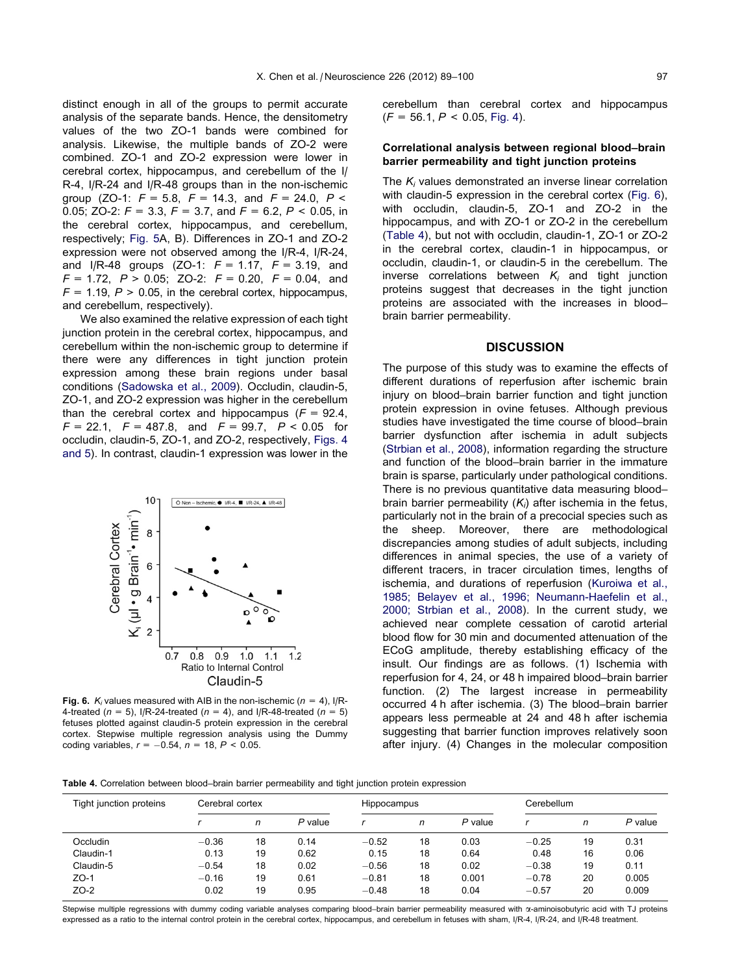<span id="page-8-0"></span>distinct enough in all of the groups to permit accurate analysis of the separate bands. Hence, the densitometry values of the two ZO-1 bands were combined for analysis. Likewise, the multiple bands of ZO-2 were combined. ZO-1 and ZO-2 expression were lower in cerebral cortex, hippocampus, and cerebellum of the I/ R-4, I/R-24 and I/R-48 groups than in the non-ischemic group (ZO-1:  $F = 5.8$ ,  $F = 14.3$ , and  $F = 24.0$ ,  $P <$ 0.05; ZO-2:  $F = 3.3$ ,  $F = 3.7$ , and  $F = 6.2$ ,  $P < 0.05$ , in the cerebral cortex, hippocampus, and cerebellum, respectively; [Fig. 5A](#page-7-0), B). Differences in ZO-1 and ZO-2 expression were not observed among the I/R-4, I/R-24, and I/R-48 groups (ZO-1:  $F = 1.17$ ,  $F = 3.19$ , and  $F = 1.72$ ,  $P > 0.05$ ; ZO-2:  $F = 0.20$ ,  $F = 0.04$ , and  $F = 1.19$ ,  $P > 0.05$ , in the cerebral cortex, hippocampus, and cerebellum, respectively).

We also examined the relative expression of each tight junction protein in the cerebral cortex, hippocampus, and cerebellum within the non-ischemic group to determine if there were any differences in tight junction protein expression among these brain regions under basal conditions ([Sadowska et al., 2009\)](#page-11-0). Occludin, claudin-5, ZO-1, and ZO-2 expression was higher in the cerebellum than the cerebral cortex and hippocampus  $(F = 92.4,$  $F = 22.1$ ,  $F = 487.8$ , and  $F = 99.7$ ,  $P < 0.05$  for occludin, claudin-5, ZO-1, and ZO-2, respectively, [Figs. 4](#page-5-0) [and 5](#page-5-0)). In contrast, claudin-1 expression was lower in the



**Fig. 6.**  $K_i$  values measured with AIB in the non-ischemic ( $n = 4$ ), I/R-4-treated ( $n = 5$ ), I/R-24-treated ( $n = 4$ ), and I/R-48-treated ( $n = 5$ ) fetuses plotted against claudin-5 protein expression in the cerebral cortex. Stepwise multiple regression analysis using the Dummy coding variables,  $r = -0.54$ ,  $n = 18$ ,  $P < 0.05$ .

cerebellum than cerebral cortex and hippocampus  $(F = 56.1, P < 0.05, Fig. 4)$  $(F = 56.1, P < 0.05, Fig. 4)$ .

## Correlational analysis between regional blood–brain barrier permeability and tight junction proteins

The  $K_i$  values demonstrated an inverse linear correlation with claudin-5 expression in the cerebral cortex (Fig. 6), with occludin, claudin-5, ZO-1 and ZO-2 in the hippocampus, and with ZO-1 or ZO-2 in the cerebellum (Table 4), but not with occludin, claudin-1, ZO-1 or ZO-2 in the cerebral cortex, claudin-1 in hippocampus, or occludin, claudin-1, or claudin-5 in the cerebellum. The inverse correlations between  $K_i$  and tight junction proteins suggest that decreases in the tight junction proteins are associated with the increases in blood– brain barrier permeability.

# **DISCUSSION**

The purpose of this study was to examine the effects of different durations of reperfusion after ischemic brain injury on blood–brain barrier function and tight junction protein expression in ovine fetuses. Although previous studies have investigated the time course of blood–brain barrier dysfunction after ischemia in adult subjects ([Strbian et al., 2008\)](#page-11-0), information regarding the structure and function of the blood–brain barrier in the immature brain is sparse, particularly under pathological conditions. There is no previous quantitative data measuring blood– brain barrier permeability  $(K<sub>i</sub>)$  after ischemia in the fetus, particularly not in the brain of a precocial species such as the sheep. Moreover, there are methodological discrepancies among studies of adult subjects, including differences in animal species, the use of a variety of different tracers, in tracer circulation times, lengths of ischemia, and durations of reperfusion [\(Kuroiwa et al.,](#page-11-0) [1985; Belayev et al., 1996; Neumann-Haefelin et al.,](#page-11-0) [2000; Strbian et al., 2008\)](#page-11-0). In the current study, we achieved near complete cessation of carotid arterial blood flow for 30 min and documented attenuation of the ECoG amplitude, thereby establishing efficacy of the insult. Our findings are as follows. (1) Ischemia with reperfusion for 4, 24, or 48 h impaired blood–brain barrier function. (2) The largest increase in permeability occurred 4 h after ischemia. (3) The blood–brain barrier appears less permeable at 24 and 48 h after ischemia suggesting that barrier function improves relatively soon after injury. (4) Changes in the molecular composition

Table 4. Correlation between blood–brain barrier permeability and tight junction protein expression

| Tight junction proteins | Cerebral cortex |    |         | Hippocampus |    |           | Cerebellum |    |         |
|-------------------------|-----------------|----|---------|-------------|----|-----------|------------|----|---------|
|                         |                 | n  | P value |             | n  | $P$ value |            | n  | P value |
| Occludin                | $-0.36$         | 18 | 0.14    | $-0.52$     | 18 | 0.03      | $-0.25$    | 19 | 0.31    |
| Claudin-1               | 0.13            | 19 | 0.62    | 0.15        | 18 | 0.64      | 0.48       | 16 | 0.06    |
| Claudin-5               | $-0.54$         | 18 | 0.02    | $-0.56$     | 18 | 0.02      | $-0.38$    | 19 | 0.11    |
| $ZO-1$                  | $-0.16$         | 19 | 0.61    | $-0.81$     | 18 | 0.001     | $-0.78$    | 20 | 0.005   |
| $ZO-2$                  | 0.02            | 19 | 0.95    | $-0.48$     | 18 | 0.04      | $-0.57$    | 20 | 0.009   |

Stepwise multiple regressions with dummy coding variable analyses comparing blood–brain barrier permeability measured with  $\alpha$ -aminoisobutyric acid with TJ proteins expressed as a ratio to the internal control protein in the cerebral cortex, hippocampus, and cerebellum in fetuses with sham, I/R-4, I/R-24, and I/R-48 treatment.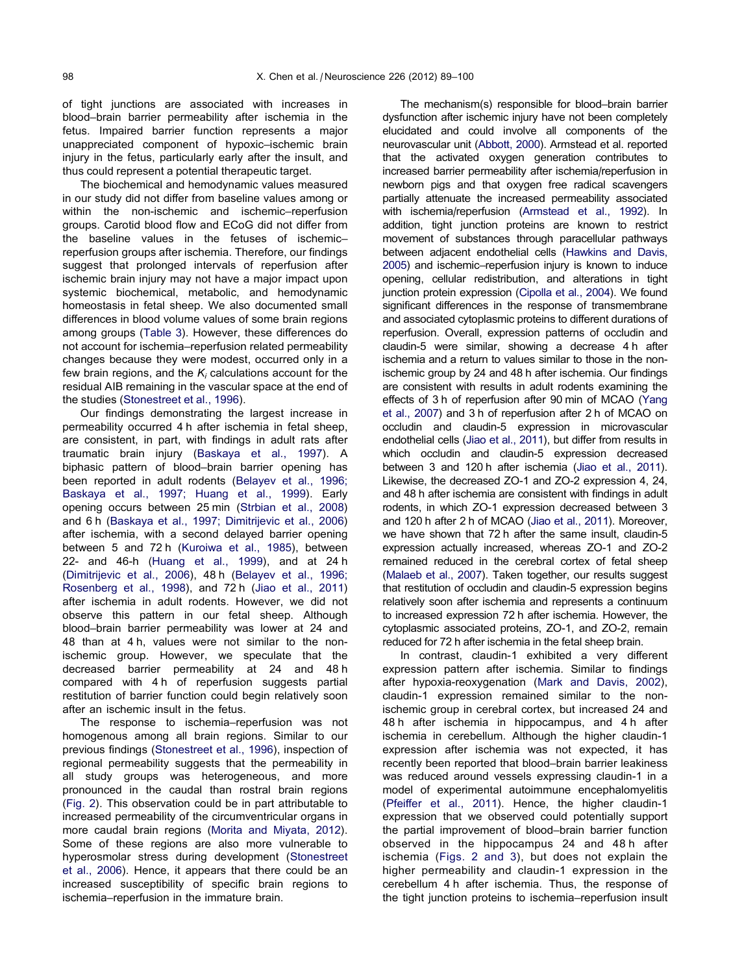of tight junctions are associated with increases in blood–brain barrier permeability after ischemia in the fetus. Impaired barrier function represents a major unappreciated component of hypoxic–ischemic brain injury in the fetus, particularly early after the insult, and thus could represent a potential therapeutic target.

The biochemical and hemodynamic values measured in our study did not differ from baseline values among or within the non-ischemic and ischemic–reperfusion groups. Carotid blood flow and ECoG did not differ from the baseline values in the fetuses of ischemic– reperfusion groups after ischemia. Therefore, our findings suggest that prolonged intervals of reperfusion after ischemic brain injury may not have a major impact upon systemic biochemical, metabolic, and hemodynamic homeostasis in fetal sheep. We also documented small differences in blood volume values of some brain regions among groups ([Table 3](#page-7-0)). However, these differences do not account for ischemia–reperfusion related permeability changes because they were modest, occurred only in a few brain regions, and the  $K_i$  calculations account for the residual AIB remaining in the vascular space at the end of the studies ([Stonestreet et al., 1996\)](#page-11-0).

Our findings demonstrating the largest increase in permeability occurred 4 h after ischemia in fetal sheep, are consistent, in part, with findings in adult rats after traumatic brain injury ([Baskaya et al., 1997\)](#page-10-0). A biphasic pattern of blood–brain barrier opening has been reported in adult rodents [\(Belayev et al., 1996;](#page-10-0) [Baskaya et al., 1997; Huang et al., 1999](#page-10-0)). Early opening occurs between 25 min ([Strbian et al., 2008](#page-11-0)) and 6 h ([Baskaya et al., 1997; Dimitrijevic et al., 2006](#page-10-0)) after ischemia, with a second delayed barrier opening between 5 and 72 h [\(Kuroiwa et al., 1985\)](#page-11-0), between 22- and 46-h ([Huang et al., 1999](#page-11-0)), and at 24 h [\(Dimitrijevic et al., 2006\)](#page-10-0), 48 h ([Belayev et al., 1996;](#page-10-0) [Rosenberg et al., 1998](#page-10-0)), and 72 h [\(Jiao et al., 2011](#page-11-0)) after ischemia in adult rodents. However, we did not observe this pattern in our fetal sheep. Although blood–brain barrier permeability was lower at 24 and 48 than at 4 h, values were not similar to the nonischemic group. However, we speculate that the decreased barrier permeability at 24 and 48 h compared with 4 h of reperfusion suggests partial restitution of barrier function could begin relatively soon after an ischemic insult in the fetus.

The response to ischemia–reperfusion was not homogenous among all brain regions. Similar to our previous findings [\(Stonestreet et al., 1996\)](#page-11-0), inspection of regional permeability suggests that the permeability in all study groups was heterogeneous, and more pronounced in the caudal than rostral brain regions [\(Fig. 2\)](#page-4-0). This observation could be in part attributable to increased permeability of the circumventricular organs in more caudal brain regions [\(Morita and Miyata, 2012\)](#page-11-0). Some of these regions are also more vulnerable to hyperosmolar stress during development [\(Stonestreet](#page-11-0) [et al., 2006\)](#page-11-0). Hence, it appears that there could be an increased susceptibility of specific brain regions to ischemia–reperfusion in the immature brain.

The mechanism(s) responsible for blood–brain barrier dysfunction after ischemic injury have not been completely elucidated and could involve all components of the neurovascular unit ([Abbott, 2000](#page-10-0)). Armstead et al. reported that the activated oxygen generation contributes to increased barrier permeability after ischemia/reperfusion in newborn pigs and that oxygen free radical scavengers partially attenuate the increased permeability associated with ischemia/reperfusion [\(Armstead et al., 1992](#page-10-0)). In addition, tight junction proteins are known to restrict movement of substances through paracellular pathways between adjacent endothelial cells [\(Hawkins and Davis,](#page-10-0) [2005](#page-10-0)) and ischemic–reperfusion injury is known to induce opening, cellular redistribution, and alterations in tight junction protein expression [\(Cipolla et al., 2004](#page-10-0)). We found significant differences in the response of transmembrane and associated cytoplasmic proteins to different durations of reperfusion. Overall, expression patterns of occludin and claudin-5 were similar, showing a decrease 4 h after ischemia and a return to values similar to those in the nonischemic group by 24 and 48 h after ischemia. Our findings are consistent with results in adult rodents examining the effects of 3 h of reperfusion after 90 min of MCAO [\(Yang](#page-11-0) [et al., 2007](#page-11-0)) and 3 h of reperfusion after 2 h of MCAO on occludin and claudin-5 expression in microvascular endothelial cells [\(Jiao et al., 2011\)](#page-11-0), but differ from results in which occludin and claudin-5 expression decreased between 3 and 120 h after ischemia [\(Jiao et al., 2011\)](#page-11-0). Likewise, the decreased ZO-1 and ZO-2 expression 4, 24, and 48 h after ischemia are consistent with findings in adult rodents, in which ZO-1 expression decreased between 3 and 120 h after 2 h of MCAO ([Jiao et al., 2011](#page-11-0)). Moreover, we have shown that 72 h after the same insult, claudin-5 expression actually increased, whereas ZO-1 and ZO-2 remained reduced in the cerebral cortex of fetal sheep ([Malaeb et al., 2007\)](#page-11-0). Taken together, our results suggest that restitution of occludin and claudin-5 expression begins relatively soon after ischemia and represents a continuum to increased expression 72 h after ischemia. However, the cytoplasmic associated proteins, ZO-1, and ZO-2, remain reduced for 72 h after ischemia in the fetal sheep brain.

In contrast, claudin-1 exhibited a very different expression pattern after ischemia. Similar to findings after hypoxia-reoxygenation [\(Mark and Davis, 2002\)](#page-11-0), claudin-1 expression remained similar to the nonischemic group in cerebral cortex, but increased 24 and 48 h after ischemia in hippocampus, and 4 h after ischemia in cerebellum. Although the higher claudin-1 expression after ischemia was not expected, it has recently been reported that blood–brain barrier leakiness was reduced around vessels expressing claudin-1 in a model of experimental autoimmune encephalomyelitis ([Pfeiffer et al., 2011\)](#page-11-0). Hence, the higher claudin-1 expression that we observed could potentially support the partial improvement of blood–brain barrier function observed in the hippocampus 24 and 48 h after ischemia ([Figs. 2 and 3](#page-4-0)), but does not explain the higher permeability and claudin-1 expression in the cerebellum 4 h after ischemia. Thus, the response of the tight junction proteins to ischemia–reperfusion insult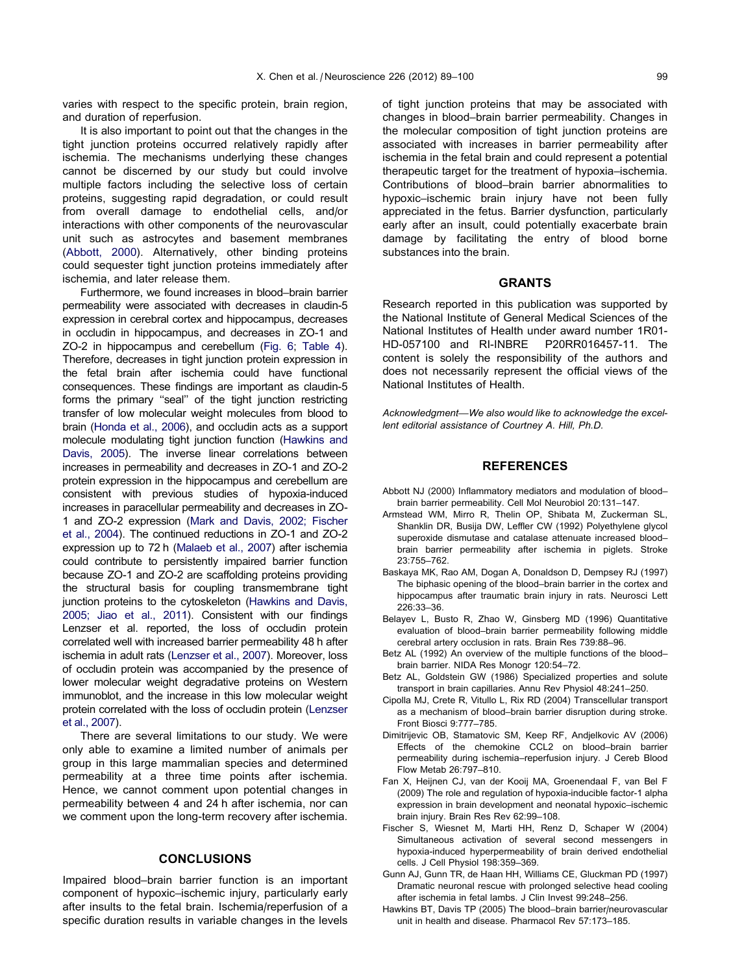<span id="page-10-0"></span>varies with respect to the specific protein, brain region, and duration of reperfusion.

It is also important to point out that the changes in the tight junction proteins occurred relatively rapidly after ischemia. The mechanisms underlying these changes cannot be discerned by our study but could involve multiple factors including the selective loss of certain proteins, suggesting rapid degradation, or could result from overall damage to endothelial cells, and/or interactions with other components of the neurovascular unit such as astrocytes and basement membranes (Abbott, 2000). Alternatively, other binding proteins could sequester tight junction proteins immediately after ischemia, and later release them.

Furthermore, we found increases in blood–brain barrier permeability were associated with decreases in claudin-5 expression in cerebral cortex and hippocampus, decreases in occludin in hippocampus, and decreases in ZO-1 and ZO-2 in hippocampus and cerebellum [\(Fig. 6](#page-8-0); [Table 4\)](#page-8-0). Therefore, decreases in tight junction protein expression in the fetal brain after ischemia could have functional consequences. These findings are important as claudin-5 forms the primary ''seal'' of the tight junction restricting transfer of low molecular weight molecules from blood to brain ([Honda et al., 2006](#page-11-0)), and occludin acts as a support molecule modulating tight junction function (Hawkins and Davis, 2005). The inverse linear correlations between increases in permeability and decreases in ZO-1 and ZO-2 protein expression in the hippocampus and cerebellum are consistent with previous studies of hypoxia-induced increases in paracellular permeability and decreases in ZO-1 and ZO-2 expression [\(Mark and Davis, 2002; Fischer](#page-11-0) [et al., 2004\)](#page-11-0). The continued reductions in ZO-1 and ZO-2 expression up to 72 h [\(Malaeb et al., 2007](#page-11-0)) after ischemia could contribute to persistently impaired barrier function because ZO-1 and ZO-2 are scaffolding proteins providing the structural basis for coupling transmembrane tight junction proteins to the cytoskeleton (Hawkins and Davis, 2005; Jiao et al., 2011). Consistent with our findings Lenzser et al. reported, the loss of occludin protein correlated well with increased barrier permeability 48 h after ischemia in adult rats ([Lenzser et al., 2007](#page-11-0)). Moreover, loss of occludin protein was accompanied by the presence of lower molecular weight degradative proteins on Western immunoblot, and the increase in this low molecular weight protein correlated with the loss of occludin protein [\(Lenzser](#page-11-0) [et al., 2007\)](#page-11-0).

There are several limitations to our study. We were only able to examine a limited number of animals per group in this large mammalian species and determined permeability at a three time points after ischemia. Hence, we cannot comment upon potential changes in permeability between 4 and 24 h after ischemia, nor can we comment upon the long-term recovery after ischemia.

## **CONCLUSIONS**

Impaired blood–brain barrier function is an important component of hypoxic–ischemic injury, particularly early after insults to the fetal brain. Ischemia/reperfusion of a specific duration results in variable changes in the levels of tight junction proteins that may be associated with changes in blood–brain barrier permeability. Changes in the molecular composition of tight junction proteins are associated with increases in barrier permeability after ischemia in the fetal brain and could represent a potential therapeutic target for the treatment of hypoxia–ischemia. Contributions of blood–brain barrier abnormalities to hypoxic–ischemic brain injury have not been fully appreciated in the fetus. Barrier dysfunction, particularly early after an insult, could potentially exacerbate brain damage by facilitating the entry of blood borne substances into the brain.

# **GRANTS**

Research reported in this publication was supported by the National Institute of General Medical Sciences of the National Institutes of Health under award number 1R01- HD-057100 and RI-INBRE P20RR016457-11. The content is solely the responsibility of the authors and does not necessarily represent the official views of the National Institutes of Health.

Acknowledgment—We also would like to acknowledge the excellent editorial assistance of Courtney A. Hill, Ph.D.

## **REFERENCES**

- Abbott NJ (2000) Inflammatory mediators and modulation of blood– brain barrier permeability. Cell Mol Neurobiol 20:131–147.
- Armstead WM, Mirro R, Thelin OP, Shibata M, Zuckerman SL, Shanklin DR, Busija DW, Leffler CW (1992) Polyethylene glycol superoxide dismutase and catalase attenuate increased blood– brain barrier permeability after ischemia in piglets. Stroke 23:755–762.
- Baskaya MK, Rao AM, Dogan A, Donaldson D, Dempsey RJ (1997) The biphasic opening of the blood–brain barrier in the cortex and hippocampus after traumatic brain injury in rats. Neurosci Lett 226:33–36.
- Belayev L, Busto R, Zhao W, Ginsberg MD (1996) Quantitative evaluation of blood–brain barrier permeability following middle cerebral artery occlusion in rats. Brain Res 739:88–96.
- Betz AL (1992) An overview of the multiple functions of the blood– brain barrier. NIDA Res Monogr 120:54–72.
- Betz AL, Goldstein GW (1986) Specialized properties and solute transport in brain capillaries. Annu Rev Physiol 48:241–250.
- Cipolla MJ, Crete R, Vitullo L, Rix RD (2004) Transcellular transport as a mechanism of blood–brain barrier disruption during stroke. Front Biosci 9:777–785.
- Dimitrijevic OB, Stamatovic SM, Keep RF, Andjelkovic AV (2006) Effects of the chemokine CCL2 on blood–brain barrier permeability during ischemia–reperfusion injury. J Cereb Blood Flow Metab 26:797–810.
- Fan X, Heijnen CJ, van der Kooij MA, Groenendaal F, van Bel F (2009) The role and regulation of hypoxia-inducible factor-1 alpha expression in brain development and neonatal hypoxic–ischemic brain injury. Brain Res Rev 62:99–108.
- Fischer S, Wiesnet M, Marti HH, Renz D, Schaper W (2004) Simultaneous activation of several second messengers in hypoxia-induced hyperpermeability of brain derived endothelial cells. J Cell Physiol 198:359–369.
- Gunn AJ, Gunn TR, de Haan HH, Williams CE, Gluckman PD (1997) Dramatic neuronal rescue with prolonged selective head cooling after ischemia in fetal lambs. J Clin Invest 99:248–256.
- Hawkins BT, Davis TP (2005) The blood–brain barrier/neurovascular unit in health and disease. Pharmacol Rev 57:173–185.